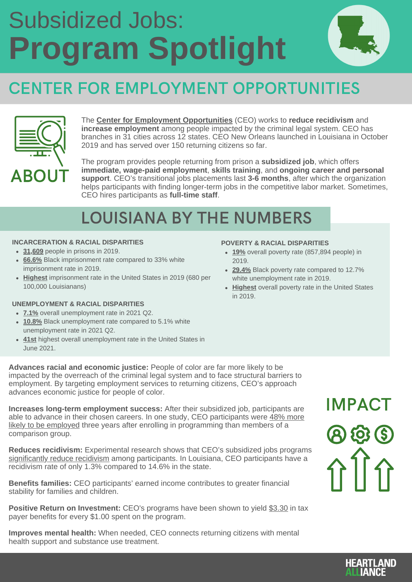## **Program Spotlight** Subsidized Jobs:



## CENTER FOR EMPLOYMENT OPPORTUNITIES



The **Center for Employment [Opportunities](https://ceoworks.org/)** (CEO) works to **reduce recidivism** and **increase employment** among people impacted by the criminal legal system. CEO has branches in 31 cities across 12 states. CEO New Orleans launched in Louisiana in October 2019 and has served over 150 returning citizens so far.

The program provides people returning from prison a **subsidized job**, which offers **immediate, wage-paid employment**, **skills training**, and **ongoing career and personal support**. CEO's transitional jobs placements last **3-6 months**, after which the organization helps participants with finding longer-term jobs in the competitive labor market. Sometimes, CEO hires participants as **full-time staff**.

### LOUISIANA BY THE NUMBERS

#### **INCARCERATION & RACIAL DISPARITIES**

- **[31,609](https://bjs.ojp.gov/content/pub/pdf/p19.pdf)** people in prisons in 2019.
- **[66.6%](https://bjs.ojp.gov/content/pub/pdf/p19.pdf)** Black imprisonment rate compared to 33% white imprisonment rate in 2019.
- **[Highest](https://bjs.ojp.gov/content/pub/pdf/p19.pdf)** imprisonment rate in the United States in 2019 (680 per 100,000 Louisianans)

#### **UNEMPLOYMENT & RACIAL DISPARITIES**

- **[7.1%](https://www.epi.org/indicators/state-unemployment-race-ethnicity/)** overall unemployment rate in 2021 Q2.
- [10.8%](https://www.epi.org/indicators/state-unemployment-race-ethnicity/) Black unemployment rate compared to 5.1% white unemployment rate in 2021 Q2.
- **[41st](https://www.bls.gov/web/laus/laumstrk.htm)** highest overall unemployment rate in the United States in June 2021.

#### **POVERTY & RACIAL DISPARITIES**

- **[19%](https://talkpoverty.org/state-year-report/louisiana-2020-report/)** overall poverty rate (857,894 people) in 2019.
- **[29.4%](https://talkpoverty.org/state-year-report/louisiana-2020-report/)** Black poverty rate compared to 12.7% white unemployment rate in 2019.
- **[Highest](https://talkpoverty.org/state-year-report/louisiana-2020-report/)** overall poverty rate in the United States in 2019.

**Advances racial and economic justice:** People of color are far more likely to be impacted by the overreach of the criminal legal system and to face structural barriers to employment. By targeting employment services to returning citizens, CEO's approach advances economic justice for people of color.

**Increases long-term employment success:** After their subsidized job, participants are able to advance in their chosen careers. In one study, CEO participants were 48% more likely to be employed three years after enrolling in [programming](https://ceoworks.org/assets/images/CEO-Improving-Long-Term-Employment_042319_print.pdf) than members of a comparison group.

**Reduces recidivism:** Experimental research shows that CEO's subsidized jobs programs [significantly](https://www.mdrc.org/publication/more-job) reduce recidivism among participants. In Louisiana, CEO participants have a recidivism rate of only 1.3% compared to 14.6% in the state.

**Benefits families:** CEO participants' earned income contributes to greater financial stability for families and children.

**Positive Return on Investment:** CEO's programs have been shown to yield [\\$3.30](https://www.mdrc.org/publication/more-job) in tax payer benefits for every \$1.00 spent on the program.

**Improves mental health:** When needed, CEO connects returning citizens with mental health support and substance use treatment.

IMPACT <u> ව (ව) (දි</u>